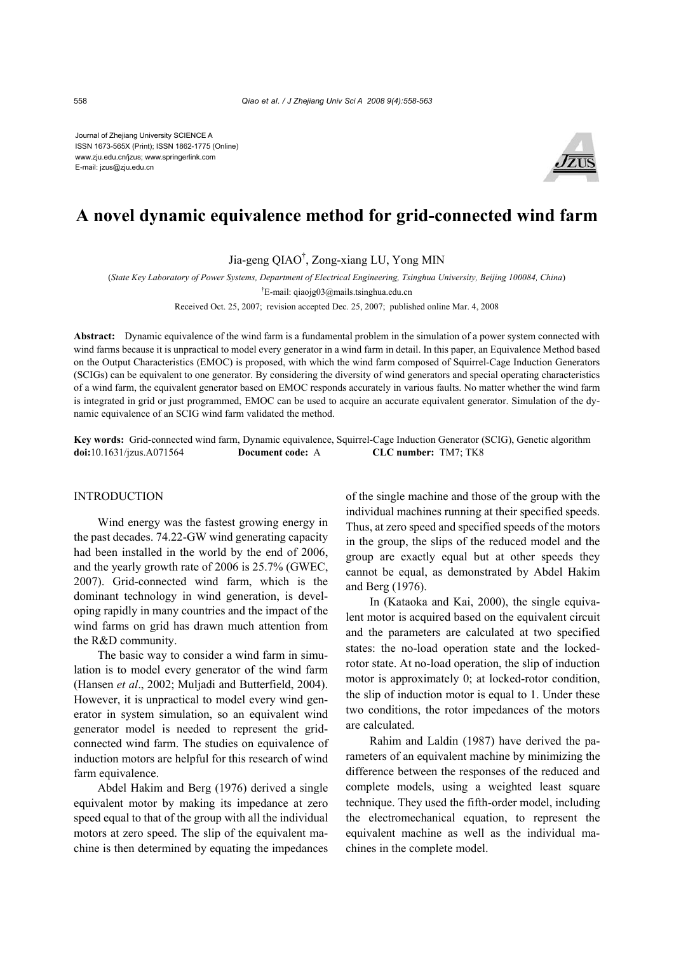Journal of Zhejiang University SCIENCE A ISSN 1673-565X (Print); ISSN 1862-1775 (Online) www.zju.edu.cn/jzus; www.springerlink.com E-mail: jzus@zju.edu.cn



# **A novel dynamic equivalence method for grid-connected wind farm**

Jia-geng QIAO† , Zong-xiang LU, Yong MIN

(*State Key Laboratory of Power Systems, Department of Electrical Engineering, Tsinghua University, Beijing 100084, China*)

† E-mail: qiaojg03@mails.tsinghua.edu.cn

Received Oct. 25, 2007; revision accepted Dec. 25, 2007; published online Mar. 4, 2008

**Abstract:** Dynamic equivalence of the wind farm is a fundamental problem in the simulation of a power system connected with wind farms because it is unpractical to model every generator in a wind farm in detail. In this paper, an Equivalence Method based on the Output Characteristics (EMOC) is proposed, with which the wind farm composed of Squirrel-Cage Induction Generators (SCIGs) can be equivalent to one generator. By considering the diversity of wind generators and special operating characteristics of a wind farm, the equivalent generator based on EMOC responds accurately in various faults. No matter whether the wind farm is integrated in grid or just programmed, EMOC can be used to acquire an accurate equivalent generator. Simulation of the dynamic equivalence of an SCIG wind farm validated the method.

**Key words:** Grid-connected wind farm, Dynamic equivalence, Squirrel-Cage Induction Generator (SCIG), Genetic algorithm **doi:**10.1631/jzus.A071564 **Document code:** A **CLC number:** TM7; TK8

## INTRODUCTION

Wind energy was the fastest growing energy in the past decades. 74.22-GW wind generating capacity had been installed in the world by the end of 2006, and the yearly growth rate of 2006 is 25.7% (GWEC, 2007). Grid-connected wind farm, which is the dominant technology in wind generation, is developing rapidly in many countries and the impact of the wind farms on grid has drawn much attention from the R&D community.

The basic way to consider a wind farm in simulation is to model every generator of the wind farm (Hansen *et al*., 2002; Muljadi and Butterfield, 2004). However, it is unpractical to model every wind generator in system simulation, so an equivalent wind generator model is needed to represent the gridconnected wind farm. The studies on equivalence of induction motors are helpful for this research of wind farm equivalence.

Abdel Hakim and Berg (1976) derived a single equivalent motor by making its impedance at zero speed equal to that of the group with all the individual motors at zero speed. The slip of the equivalent machine is then determined by equating the impedances

of the single machine and those of the group with the individual machines running at their specified speeds. Thus, at zero speed and specified speeds of the motors in the group, the slips of the reduced model and the group are exactly equal but at other speeds they cannot be equal, as demonstrated by Abdel Hakim and Berg (1976).

In (Kataoka and Kai, 2000), the single equivalent motor is acquired based on the equivalent circuit and the parameters are calculated at two specified states: the no-load operation state and the lockedrotor state. At no-load operation, the slip of induction motor is approximately 0; at locked-rotor condition, the slip of induction motor is equal to 1. Under these two conditions, the rotor impedances of the motors are calculated.

Rahim and Laldin (1987) have derived the parameters of an equivalent machine by minimizing the difference between the responses of the reduced and complete models, using a weighted least square technique. They used the fifth-order model, including the electromechanical equation, to represent the equivalent machine as well as the individual machines in the complete model.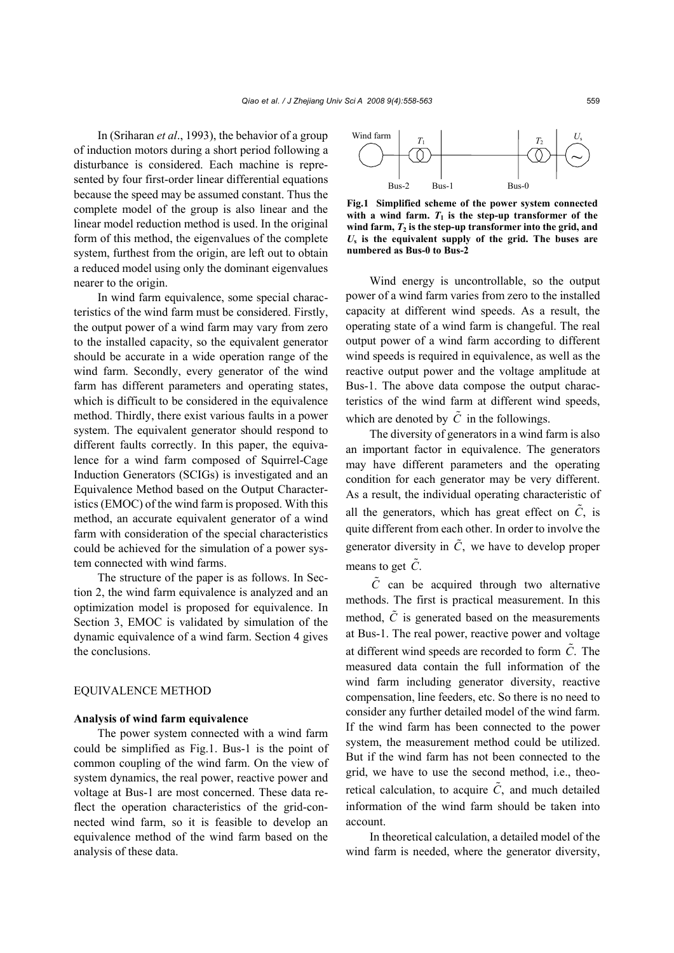In (Sriharan *et al*., 1993), the behavior of a group of induction motors during a short period following a disturbance is considered. Each machine is represented by four first-order linear differential equations because the speed may be assumed constant. Thus the complete model of the group is also linear and the linear model reduction method is used. In the original form of this method, the eigenvalues of the complete system, furthest from the origin, are left out to obtain a reduced model using only the dominant eigenvalues nearer to the origin.

In wind farm equivalence, some special characteristics of the wind farm must be considered. Firstly, the output power of a wind farm may vary from zero to the installed capacity, so the equivalent generator should be accurate in a wide operation range of the wind farm. Secondly, every generator of the wind farm has different parameters and operating states, which is difficult to be considered in the equivalence method. Thirdly, there exist various faults in a power system. The equivalent generator should respond to different faults correctly. In this paper, the equivalence for a wind farm composed of Squirrel-Cage Induction Generators (SCIGs) is investigated and an Equivalence Method based on the Output Characteristics (EMOC) of the wind farm is proposed. With this method, an accurate equivalent generator of a wind farm with consideration of the special characteristics could be achieved for the simulation of a power system connected with wind farms.

The structure of the paper is as follows. In Section 2, the wind farm equivalence is analyzed and an optimization model is proposed for equivalence. In Section 3, EMOC is validated by simulation of the dynamic equivalence of a wind farm. Section 4 gives the conclusions.

# EQUIVALENCE METHOD

#### **Analysis of wind farm equivalence**

The power system connected with a wind farm could be simplified as Fig.1. Bus-1 is the point of common coupling of the wind farm. On the view of system dynamics, the real power, reactive power and voltage at Bus-1 are most concerned. These data reflect the operation characteristics of the grid-connected wind farm, so it is feasible to develop an equivalence method of the wind farm based on the analysis of these data.



**Fig.1 Simplified scheme of the power system connected** with a wind farm.  $T_1$  is the step-up transformer of the **wind farm,** *T***2 is the step-up transformer into the grid, and** *U***s is the equivalent supply of the grid. The buses are numbered as Bus-0 to Bus-2**

Wind energy is uncontrollable, so the output power of a wind farm varies from zero to the installed capacity at different wind speeds. As a result, the operating state of a wind farm is changeful. The real output power of a wind farm according to different wind speeds is required in equivalence, as well as the reactive output power and the voltage amplitude at Bus-1. The above data compose the output characteristics of the wind farm at different wind speeds, which are denoted by  $\tilde{C}$  in the followings.

The diversity of generators in a wind farm is also an important factor in equivalence. The generators may have different parameters and the operating condition for each generator may be very different. As a result, the individual operating characteristic of all the generators, which has great effect on  $\tilde{C}$ , is quite different from each other. In order to involve the generator diversity in  $\tilde{C}$ , we have to develop proper means to get  $\tilde{C}$ .

 $\tilde{C}$  can be acquired through two alternative methods. The first is practical measurement. In this method,  $\tilde{C}$  is generated based on the measurements at Bus-1. The real power, reactive power and voltage at different wind speeds are recorded to form  $\tilde{C}$ . The measured data contain the full information of the wind farm including generator diversity, reactive compensation, line feeders, etc. So there is no need to consider any further detailed model of the wind farm. If the wind farm has been connected to the power system, the measurement method could be utilized. But if the wind farm has not been connected to the grid, we have to use the second method, i.e., theoretical calculation, to acquire  $\tilde{C}$ , and much detailed information of the wind farm should be taken into account.

In theoretical calculation, a detailed model of the wind farm is needed, where the generator diversity,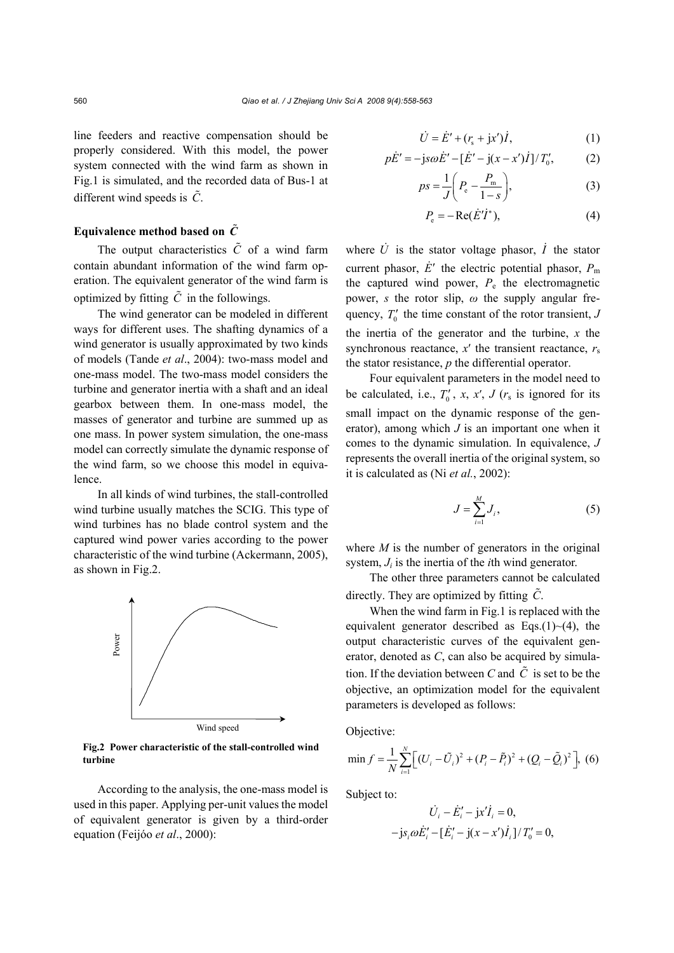line feeders and reactive compensation should be properly considered. With this model, the power system connected with the wind farm as shown in Fig.1 is simulated, and the recorded data of Bus-1 at different wind speeds is  $\tilde{C}$ .

# **Equivalence method based on** *C*

The output characteristics  $\tilde{C}$  of a wind farm contain abundant information of the wind farm operation. The equivalent generator of the wind farm is optimized by fitting  $\tilde{C}$  in the followings.

The wind generator can be modeled in different ways for different uses. The shafting dynamics of a wind generator is usually approximated by two kinds of models (Tande *et al*., 2004): two-mass model and one-mass model. The two-mass model considers the turbine and generator inertia with a shaft and an ideal gearbox between them. In one-mass model, the masses of generator and turbine are summed up as one mass. In power system simulation, the one-mass model can correctly simulate the dynamic response of the wind farm, so we choose this model in equivalence.

In all kinds of wind turbines, the stall-controlled wind turbine usually matches the SCIG. This type of wind turbines has no blade control system and the captured wind power varies according to the power characteristic of the wind turbine (Ackermann, 2005), as shown in Fig.2.



**Fig.2 Power characteristic of the stall-controlled wind turbine** 

According to the analysis, the one-mass model is used in this paper. Applying per-unit values the model of equivalent generator is given by a third-order equation (Feijóo *et al*., 2000):

$$
\dot{U} = \dot{E}' + (r_s + jx')\dot{I},
$$
 (1)

$$
p\dot{E}' = -\mathrm{j} s\omega \dot{E}' - [\dot{E}' - \mathrm{j}(x - x')\dot{I}]/T'_0, \tag{2}
$$

$$
ps = \frac{1}{J} \left( P_e - \frac{P_m}{1 - s} \right),\tag{3}
$$

$$
P_{\rm e} = -\operatorname{Re}(\dot{E}'\dot{I}^*),\tag{4}
$$

where  $\dot{U}$  is the stator voltage phasor,  $\dot{I}$  the stator current phasor,  $\dot{E}'$  the electric potential phasor,  $P_m$ the captured wind power,  $P_e$  the electromagnetic power, *s* the rotor slip, *ω* the supply angular frequency,  $T_0'$  the time constant of the rotor transient,  $J$ the inertia of the generator and the turbine, *x* the synchronous reactance,  $x'$  the transient reactance,  $r_s$ the stator resistance, *p* the differential operator.

Four equivalent parameters in the model need to be calculated, i.e.,  $T'_0$ , x, x', J ( $r_s$  is ignored for its small impact on the dynamic response of the generator), among which *J* is an important one when it comes to the dynamic simulation. In equivalence, *J* represents the overall inertia of the original system, so it is calculated as (Ni *et al.*, 2002):

$$
J = \sum_{i=1}^{M} J_i,\tag{5}
$$

where *M* is the number of generators in the original system, *Ji* is the inertia of the *i*th wind generator.

The other three parameters cannot be calculated directly. They are optimized by fitting  $\tilde{C}$ .

When the wind farm in Fig.1 is replaced with the equivalent generator described as  $Eqs.(1)~(4)$ , the output characteristic curves of the equivalent generator, denoted as *C*, can also be acquired by simulation. If the deviation between *C* and  $\tilde{C}$  is set to be the objective, an optimization model for the equivalent parameters is developed as follows:

Objective:

$$
\min f = \frac{1}{N} \sum_{i=1}^{N} \Big[ (U_i - \tilde{U}_i)^2 + (P_i - \tilde{P}_i)^2 + (Q_i - \tilde{Q}_i)^2 \Big], \tag{6}
$$

Subject to:

$$
\dot{U}_i - \dot{E}'_i - jx'\dot{I}_i = 0,
$$
  
-  $js_i\omega\dot{E}'_i - [\dot{E}'_i - j(x - x')\dot{I}_i]/T'_0 = 0,$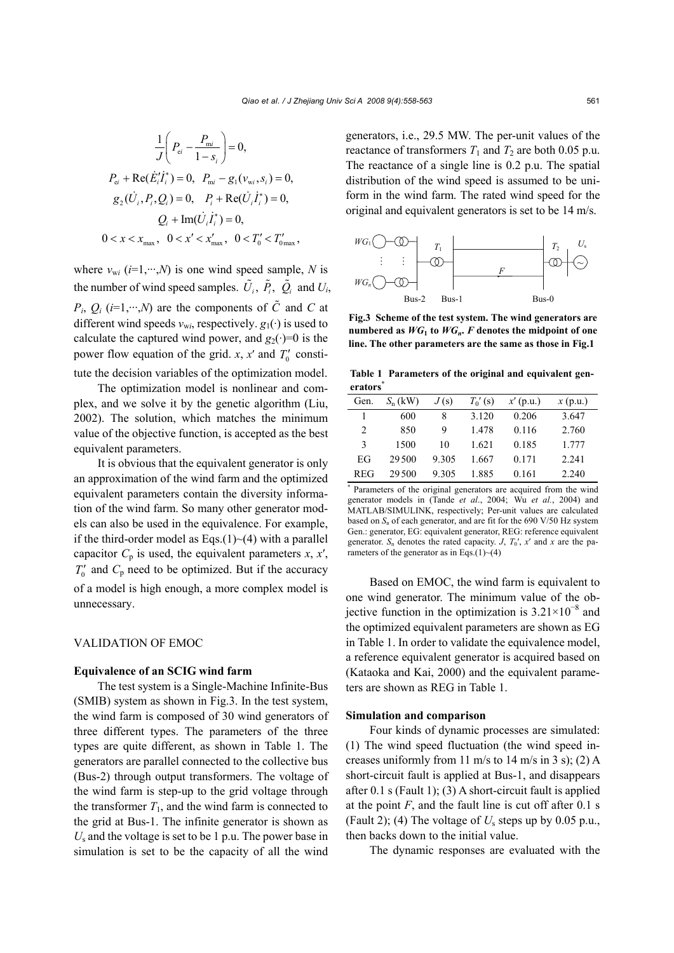$$
\frac{1}{J}\left(P_{ei} - \frac{P_{mi}}{1 - s_i}\right) = 0,
$$
\n
$$
P_{ei} + \text{Re}(\dot{E}_i'\dot{I}_i^*) = 0, \quad P_{mi} - g_1(v_{wi}, s_i) = 0,
$$
\n
$$
g_2(\dot{U}_i, P_i, Q_i) = 0, \quad P_i + \text{Re}(\dot{U}_i\dot{I}_i^*) = 0,
$$
\n
$$
Q_i + \text{Im}(\dot{U}_i\dot{I}_i^*) = 0,
$$
\n
$$
0 < x < x_{\text{max}}, \quad 0 < x' < x_{\text{max}}', \quad 0 < T_0' < T_{\text{0max}}',
$$

where  $v_{wi}$  ( $i=1,\dots,N$ ) is one wind speed sample, *N* is the number of wind speed samples.  $\tilde{U}_i$ ,  $\tilde{P}_i$ ,  $\tilde{Q}_i$  and  $U_i$ ,  $P_i$ ,  $Q_i$  (*i*=1,…,*N*) are the components of  $\tilde{C}$  and *C* at different wind speeds  $v_{wi}$ , respectively.  $g_1(\cdot)$  is used to calculate the captured wind power, and  $g_2(\cdot)=0$  is the power flow equation of the grid. *x*,  $x'$  and  $T'_0$  constitute the decision variables of the optimization model.

The optimization model is nonlinear and complex, and we solve it by the genetic algorithm (Liu, 2002). The solution, which matches the minimum value of the objective function, is accepted as the best equivalent parameters.

It is obvious that the equivalent generator is only an approximation of the wind farm and the optimized equivalent parameters contain the diversity information of the wind farm. So many other generator models can also be used in the equivalence. For example, if the third-order model as Eqs.(1) $\sim$ (4) with a parallel capacitor  $C_p$  is used, the equivalent parameters  $x, x'$ ,  $T_0'$  and  $C_p$  need to be optimized. But if the accuracy of a model is high enough, a more complex model is unnecessary.

# VALIDATION OF EMOC

#### **Equivalence of an SCIG wind farm**

The test system is a Single-Machine Infinite-Bus (SMIB) system as shown in Fig.3. In the test system, the wind farm is composed of 30 wind generators of three different types. The parameters of the three types are quite different, as shown in Table 1. The generators are parallel connected to the collective bus (Bus-2) through output transformers. The voltage of the wind farm is step-up to the grid voltage through the transformer  $T_1$ , and the wind farm is connected to the grid at Bus-1. The infinite generator is shown as  $U_s$  and the voltage is set to be 1 p.u. The power base in simulation is set to be the capacity of all the wind

generators, i.e., 29.5 MW. The per-unit values of the reactance of transformers  $T_1$  and  $T_2$  are both 0.05 p.u. The reactance of a single line is 0.2 p.u. The spatial distribution of the wind speed is assumed to be uniform in the wind farm. The rated wind speed for the original and equivalent generators is set to be 14 m/s.



**Fig.3 Scheme of the test system. The wind generators are numbered as**  $WG_1$  **to**  $WG_n$ **.** *F* denotes the midpoint of one **line. The other parameters are the same as those in Fig.1**

**Table 1 Parameters of the original and equivalent generators\***

| Gen.       | $S_n$ (kW) | J(s)  | $T_0$ ' (s) | $x'$ (p.u.) | x(p.u.) |
|------------|------------|-------|-------------|-------------|---------|
|            | 600        | 8     | 3.120       | 0.206       | 3.647   |
| 2          | 850        | 9     | 1.478       | 0.116       | 2.760   |
| 3          | 1500       | 10    | 1.621       | 0.185       | 1.777   |
| EG         | 29500      | 9.305 | 1.667       | 0.171       | 2.241   |
| <b>REG</b> | 29.500     | 9.305 | 1.885       | 0.161       | 2.240   |

\* Parameters of the original generators are acquired from the wind generator models in (Tande *et al*., 2004; Wu *et al.*, 2004) and MATLAB/SIMULINK, respectively; Per-unit values are calculated based on  $S_n$  of each generator, and are fit for the 690 V/50 Hz system Gen.: generator, EG: equivalent generator, REG: reference equivalent generator.  $S_n$  denotes the rated capacity. *J*,  $T_0'$ ,  $x'$  and  $x$  are the parameters of the generator as in Eqs.(1) $\sim$ (4)

Based on EMOC, the wind farm is equivalent to one wind generator. The minimum value of the objective function in the optimization is  $3.21 \times 10^{-8}$  and the optimized equivalent parameters are shown as EG in Table 1. In order to validate the equivalence model, a reference equivalent generator is acquired based on (Kataoka and Kai, 2000) and the equivalent parameters are shown as REG in Table 1.

# **Simulation and comparison**

Four kinds of dynamic processes are simulated: (1) The wind speed fluctuation (the wind speed increases uniformly from 11 m/s to 14 m/s in 3 s); (2) A short-circuit fault is applied at Bus-1, and disappears after 0.1 s (Fault 1); (3) A short-circuit fault is applied at the point *F*, and the fault line is cut off after 0.1 s (Fault 2); (4) The voltage of *U*s steps up by 0.05 p.u., then backs down to the initial value.

The dynamic responses are evaluated with the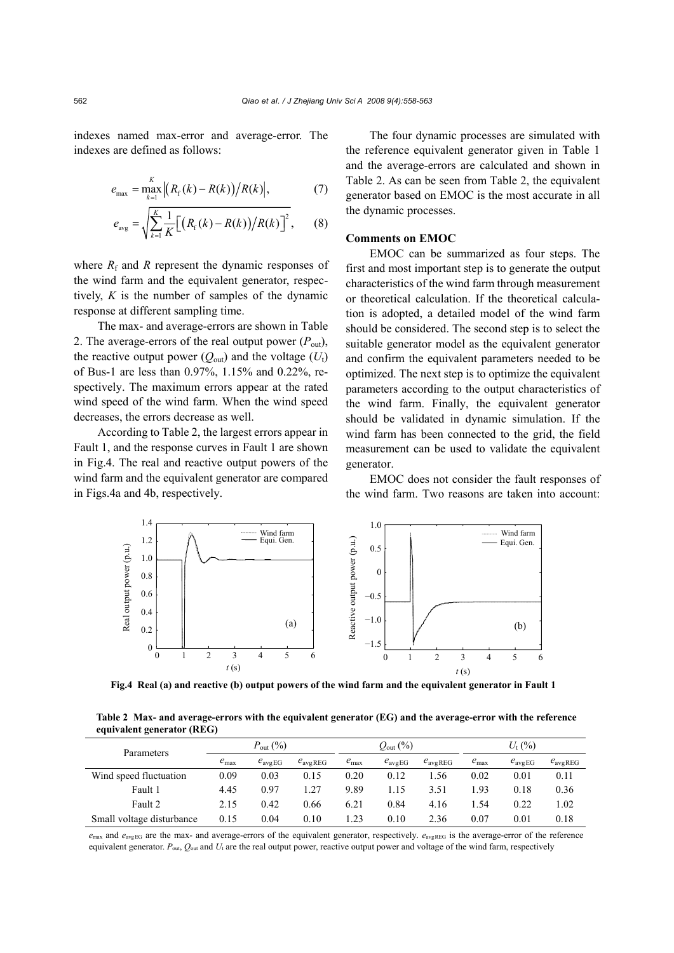indexes named max-error and average-error. The indexes are defined as follows:

$$
e_{\max} = \max_{k=1}^{K} |(R_{\rm f}(k) - R(k)) / R(k)|, \qquad (7)
$$

$$
e_{\text{avg}} = \sqrt{\sum_{k=1}^{K} \frac{1}{K} \Big[ \big( R_{\text{f}}(k) - R(k) \big) / R(k) \Big]^2}, \qquad (8)
$$

where  $R_f$  and  $R$  represent the dynamic responses of the wind farm and the equivalent generator, respectively, *K* is the number of samples of the dynamic response at different sampling time.

The max- and average-errors are shown in Table 2. The average-errors of the real output power  $(P_{out})$ , the reactive output power  $(Q_{out})$  and the voltage  $(U_t)$ of Bus-1 are less than 0.97%, 1.15% and 0.22%, respectively. The maximum errors appear at the rated wind speed of the wind farm. When the wind speed decreases, the errors decrease as well.

According to Table 2, the largest errors appear in Fault 1, and the response curves in Fault 1 are shown in Fig.4. The real and reactive output powers of the wind farm and the equivalent generator are compared in Figs.4a and 4b, respectively.

The four dynamic processes are simulated with the reference equivalent generator given in Table 1 and the average-errors are calculated and shown in Table 2. As can be seen from Table 2, the equivalent generator based on EMOC is the most accurate in all the dynamic processes.

# **Comments on EMOC**

EMOC can be summarized as four steps. The first and most important step is to generate the output characteristics of the wind farm through measurement or theoretical calculation. If the theoretical calculation is adopted, a detailed model of the wind farm should be considered. The second step is to select the suitable generator model as the equivalent generator and confirm the equivalent parameters needed to be optimized. The next step is to optimize the equivalent parameters according to the output characteristics of the wind farm. Finally, the equivalent generator should be validated in dynamic simulation. If the wind farm has been connected to the grid, the field measurement can be used to validate the equivalent generator.

EMOC does not consider the fault responses of the wind farm. Two reasons are taken into account:



**Fig.4 Real (a) and reactive (b) output powers of the wind farm and the equivalent generator in Fault 1** 

**Table 2 Max- and average-errors with the equivalent generator (EG) and the average-error with the reference equivalent generator (REG)** 

| Parameters                | $P_{\text{out}}(\%)$ |                    | $Q_{\text{out}}(\%)$ |                  | $U_{1}$ (%)         |                     |               |                    |                     |
|---------------------------|----------------------|--------------------|----------------------|------------------|---------------------|---------------------|---------------|--------------------|---------------------|
|                           | $e_{\text{max}}$     | $e_{\text{avgEG}}$ | $e_{\text{avgREG}}$  | $e_{\text{max}}$ | $e_{\text{avg EG}}$ | $e_{\text{avgREG}}$ | $e_{\rm max}$ | $e_{\text{avgEG}}$ | $e_{\text{avgREG}}$ |
| Wind speed fluctuation    | 0.09                 | 0.03               | 0.15                 | 0.20             | 0.12                | l 56                | 0.02          | 0.01               | 0.11                |
| Fault 1                   | 4.45                 | 0.97               | 1.27                 | 9.89             | l.15                | 3.51                | 1.93          | 0.18               | 0.36                |
| Fault 2                   | 2.15                 | 0.42               | 0.66                 | 6.21             | 0.84                | 4.16                | .54           | 0.22               | l.02                |
| Small voltage disturbance | 0.15                 | 0.04               | 0.10                 | 1.23             | 0.10                | 2.36                | 0.07          | 0.01               | 0.18                |

 $e_{\text{max}}$  and  $e_{\text{avgEG}}$  are the max- and average-errors of the equivalent generator, respectively.  $e_{\text{avgREG}}$  is the average-error of the reference equivalent generator.  $P_{\text{out}}$ ,  $Q_{\text{out}}$  and  $U_t$  are the real output power, reactive output power and voltage of the wind farm, respectively